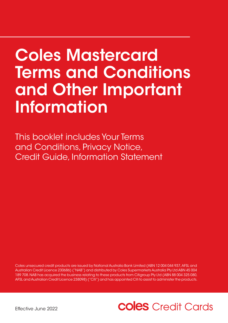# Coles Mastercard Terms and Conditions and Other Important Information

This booklet includes Your Terms and Conditions, Privacy Notice, Credit Guide, Information Statement

Coles unsecured credit products are issued by National Australia Bank Limited (ABN 12 004 044 937, AFSL and Australian Credit Licence 230686) ("NAB") and distributed by Coles Supermarkets Australia Pty Ltd ABN 45 004 189 708. NAB has acquired the business relating to these products from Citigroup Pty Ltd (ABN 88 004 325 080, AFSL and Australian Credit Licence 238098) ("Citi") and has appointed Citi to assist to administer the products.

## **Coles** Credit Cards

Effective June 2022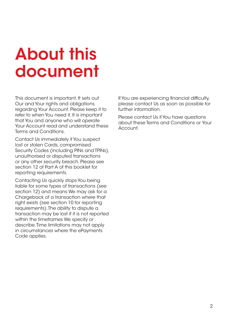# About this document

This document is important. It sets out Our and Your rights and obligations regarding Your Account. Please keep it to refer to when You need it. It is important that You and anyone who will operate Your Account read and understand these Terms and Conditions.

Contact Us immediately if You suspect lost or stolen Cards, compromised Security Codes (including PINs and TPINs), unauthorised or disputed transactions or any other security breach. Please see section 12 of Part A of this booklet for reporting requirements.

Contacting Us quickly stops You being liable for some types of transactions (see section 12) and means We may ask for a Chargeback of a transaction where that right exists (see section 10 for reporting requirements). The ability to dispute a transaction may be lost if it is not reported within the timeframes We specify or describe. Time limitations may not apply in circumstances where the ePayments Code applies.

If You are experiencing financial difficulty, please contact Us as soon as possible for further information.

Please contact Us if You have questions about these Terms and Conditions or Your Account.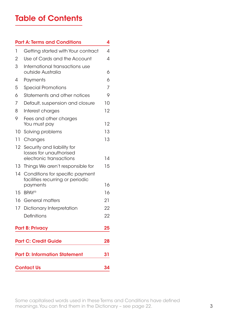### Table of Contents

|                                                                                               | <b>Part A: Terms and Conditions</b>                                              | 4  |                   |  |  |
|-----------------------------------------------------------------------------------------------|----------------------------------------------------------------------------------|----|-------------------|--|--|
| 1                                                                                             | Getting started with Your contract                                               | 4  |                   |  |  |
| 2                                                                                             | Use of Cards and the Account                                                     | 4  |                   |  |  |
| 3                                                                                             | International transactions use<br>outside Australia                              | 6  |                   |  |  |
| 4                                                                                             | Payments                                                                         | 6  |                   |  |  |
| 5                                                                                             | <b>Special Promotions</b>                                                        | 7  |                   |  |  |
| 6                                                                                             | Statements and other notices                                                     | 9  |                   |  |  |
| 7                                                                                             | Default, suspension and closure                                                  | 10 |                   |  |  |
| 8                                                                                             | Interest charges                                                                 | 12 |                   |  |  |
| 9                                                                                             | Fees and other charges<br>You must pay                                           | 12 |                   |  |  |
| 10                                                                                            | Solving problems                                                                 | 13 |                   |  |  |
| 11                                                                                            | Changes                                                                          | 13 |                   |  |  |
| 12                                                                                            | Security and liability for<br>losses for unauthorised<br>electronic transactions | 14 |                   |  |  |
| 13                                                                                            | Things We aren't responsible for                                                 | 15 |                   |  |  |
| 14                                                                                            | Conditions for specific payment<br>facilities recurring or periodic<br>payments  | 16 |                   |  |  |
|                                                                                               | 15 BPAY®                                                                         | 16 |                   |  |  |
| 16                                                                                            | <b>General matters</b>                                                           | 21 |                   |  |  |
| 17                                                                                            | Dictionary Interpretation                                                        | 22 |                   |  |  |
|                                                                                               | Definitions                                                                      | 22 |                   |  |  |
| <b>Part B: Privacy</b><br><b>Part C: Credit Guide</b><br><b>Part D: Information Statement</b> |                                                                                  |    |                   |  |  |
|                                                                                               |                                                                                  |    | <b>Contact Us</b> |  |  |

Some capitalised words used in these Terms and Conditions have defined meanings. You can find them in the Dictionary – see page 22.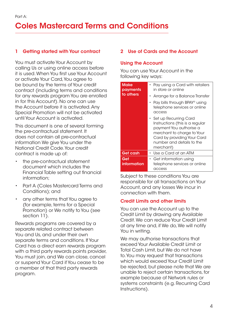#### <span id="page-3-0"></span>1 Getting started with Your contract

You must activate Your Account by calling Us or using online access before it is used. When You first use Your Account or activate Your Card, You agree to be bound by the terms of Your credit contract (including terms and conditions for any rewards program You are enrolled in for this Account). No one can use the Account before it is activated. Any Special Promotion will not be activated until Your Account is activated.

This document is one of several forming the pre-contractual statement. It does not contain all pre-contractual information We give You under the National Credit Code. Your credit contract is made up of:

- the pre-contractual statement document which includes the Financial Table setting out financial information;
- Part A (Coles Mastercard Terms and Conditions); and
- any other terms that You agree to (for example, terms for a Special Promotion) or We notify to You (see section 11).

Rewards programs are covered by a separate related contract between You and Us, and under their own separate terms and conditions. If Your Card has a direct earn rewards program with a third party rewards points provider, You must join, and We can close, cancel or suspend Your Card if You cease to be a member of that third party rewards program.

#### 2 Use of Cards and the Account

#### Using the Account

You can use Your Account in the following key ways:

| <b>Make</b><br>payments<br>to others | Pay using a Card with retailers<br>in store or online<br>• Arrange for a Balance Transfer<br>Pay bills through BPAY <sup>®</sup> using<br>telephone services or online<br>access             |
|--------------------------------------|----------------------------------------------------------------------------------------------------------------------------------------------------------------------------------------------|
|                                      | • Set up Recurring Card<br>Instructions (this is a regular<br>payment You authorise a<br>merchant to charge to Your<br>Card by providing Your Card<br>number and details to the<br>merchant) |
| Get cash                             | $\cdot$ Use a Card at an ATM                                                                                                                                                                 |
| Get<br>information                   | • Get information using<br>telephone services or online<br>access                                                                                                                            |

Subject to these conditions You are responsible for all transactions on Your Account, and any losses We incur in connection with them.

#### Credit Limits and other limits

You can use the Account up to the Credit Limit by drawing any Available Credit. We can reduce Your Credit Limit at any time and, if We do, We will notify You in writing.

We may authorise transactions that exceed Your Available Credit Limit or Total Cash Limit, but We do not have to. You may request that transactions which would exceed Your Credit Limit be rejected, but please note that We are unable to reject certain transactions, for example because of Network rules or systems constraints (e.g. Recurring Card Instructions).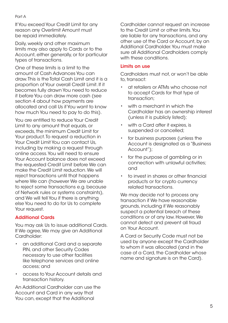If You exceed Your Credit Limit for any reason any Overlimit Amount must be repaid immediately.

Daily, weekly and other maximum limits may also apply to Cards or to the Account, either generally, or for particular types of transactions.

One of these limits is a limit to the amount of Cash Advances You can draw. This is the Total Cash Limit and it is a proportion of Your overall Credit Limit. If it becomes fully drawn You need to reduce it before You can draw more cash (see section 4 about how payments are allocated and call Us if You want to know how much You need to pay to do this).

You are entitled to reduce Your Credit Limit to any amount that equals, or exceeds, the minimum Credit Limit for Your product. To request a reduction in Your Credit Limit You can contact Us, including by making a request through online access. You will need to ensure Your Account balance does not exceed the requested Credit Limit before We can make the Credit Limit reduction. We will reject transactions until that happens where We can (however We are unable to reject some transactions e.g. because of Network rules or systems constraints), and We will tell You if there is anything else You need to do for Us to complete Your request.

#### Additional Cards

You may ask Us to issue additional Cards. If We agree, We may give an Additional Cardholder:

- an additional Card and a separate PIN, and other Security Codes necessary to use other facilities like telephone services and online access; and
- access to Your Account details and transaction history.

An Additional Cardholder can use the Account and Card in any way that You can, except that the Additional

Cardholder cannot request an increase to the Credit Limit or other limits. You are liable for any transactions, and any other use of the Card or Account, by an Additional Cardholder. You must make sure all Additional Cardholders comply with these conditions.

#### Limits on use

Cardholders must not, or won't be able to, transact:

- at retailers or ATMs who choose not to accept Cards for that type of transaction;
- with a merchant in which the Cardholder has an ownership interest (unless it is publicly listed);
- with a Card after it expires, is suspended or cancelled;
- for business purposes (unless the Account is designated as a "Business Account");
- for the purpose of gambling or in connection with unlawful activities; and
- to invest in shares or other financial products or for crypto currency related transactions.

We may decide not to process any transaction if We have reasonable grounds, including if We reasonably suspect a potential breach of these conditions or of any law. However, We cannot detect and prevent all fraud on Your Account.

A Card or Security Code must not be used by anyone except the Cardholder to whom it was allocated (and in the case of a Card, the Cardholder whose name and signature is on the Card).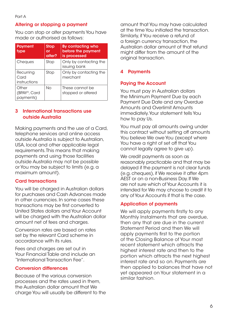#### <span id="page-5-0"></span>Altering or stopping a payment

You can stop or alter payments You have made or authorised as follows:

| <b>Payment</b><br>type                          | <b>Stop</b><br>or<br>alter? | By contacting who<br>before the payment<br>is processed |
|-------------------------------------------------|-----------------------------|---------------------------------------------------------|
| Cheques                                         | Stop                        | Only by contacting the<br>issuing bank                  |
| Recurring<br>Card<br>instructions               | Stop                        | Only by contacting the<br>merchant                      |
| Other<br>(BPAY <sup>®</sup> , Card<br>payments) | No                          | These cannot be<br>stopped or altered                   |

#### 3 International transactions use outside Australia

Making payments and the use of a Card, telephone services and online access outside Australia is subject to Australian, USA, local and other applicable legal requirements. This means that making payments and using those facilities outside Australia may not be possible or You may be subject to limits (e.g. a maximum amount).

#### Card transactions

You will be charged in Australian dollars for purchases and Cash Advances made in other currencies. In some cases these transactions may be first converted to United States dollars and Your Account will be charged with the Australian dollar amount net of fees and charges.

Conversion rates are based on rates set by the relevant Card scheme in accordance with its rules.

Fees and charges are set out in Your Financial Table and include an "International Transaction Fee".

#### Conversion differences

Because of the various conversion processes and the rates used in them, the Australian dollar amount that We charge You will usually be different to the amount that You may have calculated at the time You initiated the transaction. Similarly, if You receive a refund of a foreign currency transaction, the Australian dollar amount of that refund might differ from the amount of the original transaction.

#### **Payments**

#### Paying the Account

You must pay in Australian dollars the Minimum Payment Due by each Payment Due Date and any Overdue Amounts and Overlimit Amounts immediately. Your statement tells You how to pay Us.

You must pay all amounts owing under this contract without setting off amounts You believe We owe You (except where You have a right of set off that You cannot legally agree to give up).

We credit payments as soon as reasonably practicable and that may be delayed if the payment is not clear funds (e.g. cheques), if We receive it after 4pm AEST or on a non-Business Day. If We are not sure which of Your Accounts it is intended for We may choose to credit it to any of Your Accounts if that is the case.

#### Application of payments

We will apply payments firstly to any Monthly Instalments that are overdue, then any that are due in the current Statement Period and then We will apply payments first to the portion of the Closing Balance of Your most recent statement which attracts the highest interest rate and then to the portion which attracts the next highest interest rate and so on. Payments are then applied to balances that have not yet appeared on Your statement in a similar fashion.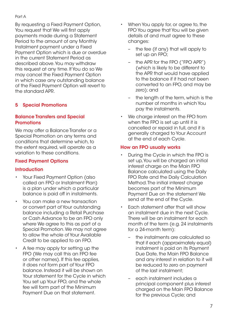<span id="page-6-0"></span>By requesting a Fixed Payment Option, You request that We will first apply payments made during a Statement Period to the amount of any Monthly Instalment payment under a Fixed Payment Option which is due or overdue in the current Statement Period as described above. You may withdraw this request at any time. If You do so We may cancel the Fixed Payment Option in which case any outstanding balance of the Fixed Payment Option will revert to the standard APR.

#### 5 Special Promotions

#### Balance Transfers and Special **Promotions**

We may offer a Balance Transfer or a Special Promotion on any terms and conditions that determine which, to the extent required, will operate as a variation to these conditions.

#### Fixed Payment Options

#### **Introduction**

- Your Fixed Payment Option (also called an FPO or Instalment Plan) is a plan under which a particular balance is paid off in instalments.
- You can make a new transaction or convert part of Your outstanding balance including a Retail Purchase or Cash Advance to be an FPO only where We agree to this as part of a Special Promotion. We may not agree to allow the whole of Your Available Credit to be applied to an FPO.
- A fee may apply for setting up the FPO (We may call this an FPO fee or other names). If this fee applies, it does not form part of Your FPO balance. Instead it will be shown on Your statement for the Cycle in which You set up Your FPO, and the whole fee will form part of the Minimum Payment Due on that statement.
- When You apply for, or agree to, the FPO You agree that You will be given details of and must agree to these changes:
	- the fee (if any) that will apply to set up an FPO;
	- the APR for the FPO ("FPO APR") (which is likely to be different to the APR that would have applied to the balance if it had not been converted to an FPO, and may be zero); and
	- the length of the term, which is the number of months in which You pay the instalments.
- We charge interest on the FPO from when the FPO is set up until it is cancelled or repaid in full, and it is generally charged to Your Account at the end of each Cycle.

#### How an FPO usually works

- During the Cycle in which the FPO is set up, You will be charged an initial interest charge on the Main FPO Balance calculated using the Daily FPO Rate and the Daily Calculation Method. The initial interest charge becomes part of the Minimum Payment Due on the statement We send at the end of the Cycle.
- Each statement after that will show an instalment due in the next Cycle. There will be an instalment for each month of the term (e.g. 24 instalments for a 24-month term):
	- the instalments are calculated so that if each (approximately equal) instalment is paid on its Payment Due Date, the Main FPO Balance and any interest in relation to it will be reduced to zero on payment of the last instalment;
	- each instalment includes a principal component plus interest charged on the Main FPO Balance for the previous Cycle; and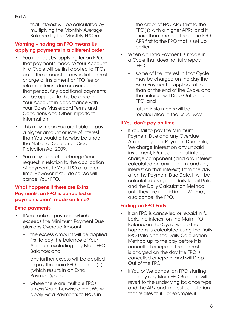– that interest will be calculated by multiplying the Monthly Average Balance by the Monthly FPO rate.

#### Warning – having an FPO means Us applying payments in a different order

- You request, by applying for an FPO, that payments made to Your Account in a Cycle will be first applied to FPOs up to the amount of any initial interest charge or instalment or FPO fee or related interest due or overdue in that period. Any additional payments will be applied to the balance of Your Account in accordance with Your Coles Mastercard Terms and Conditions and Other Important Information.
- This may mean You are liable to pay a higher amount or rate of interest than You would otherwise be under the National Consumer Credit Protection Act 2009.
- You may cancel or change Your request in relation to the application of payments to Your FPO at a later time. However, if You do so, We will cancel Your FPO.

#### What happens if there are Extra Payments, an FPO is cancelled or payments aren't made on time?

#### Extra payments

- If You make a payment which exceeds the Minimum Payment Due plus any Overdue Amount:
	- the excess amount will be applied first to pay the balance of Your Account excluding any Main FPO Balance; and
	- any further excess will be applied to pay the main FPO balance(s) (which results in an Extra Payment); and
	- where there are multiple FPOs, unless You otherwise direct, We will apply Extra Payments to FPOs in

the order of FPO APR (first to the FPO(s) with a higher APR), and if more than one has the same FPO APR first to the FPO that is set up earlier.

- When an Extra Payment is made in a Cycle that does not fully repay the FPO:
	- some of the interest in that Cycle may be charged on the day the Extra Payment is applied rather than at the end of the Cycle, and that interest will Drop Out of the FPO; and
	- future instalments will be recalculated in the usual way.

#### If You don't pay on time

If You fail to pay the Minimum Payment Due and any Overdue Amount by their Payment Due Date, We charge interest on any unpaid instalment, FPO fee or initial interest charge component (and any interest calculated on any of them, and any interest on that interest) from the day after the Payment Due Date. It will be calculated using the Daily Retail Rate and the Daily Calculation Method until they are repaid in full. We may also cancel the FPO.

#### Ending an FPO Early

- If an FPO is cancelled or repaid in full Early, the interest on the Main FPO Balance in the Cycle where that happens is calculated using the Daily FPO Rate and the Daily Calculation Method up to the day before it is cancelled or repaid. The interest is charged on the day the FPO is cancelled or repaid, and will Drop Out of the FPO.
- If You or We cancel an FPO, starting that day any Main FPO Balance will revert to the underlying balance type and the APR and interest calculation that relates to it. For example, if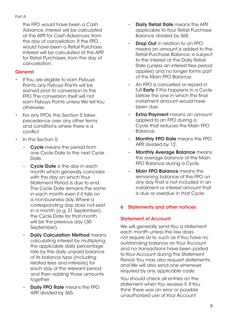<span id="page-8-0"></span>the FPO would have been a Cash Advance, interest will be calculated at the APR for Cash Advances, from the day of cancellation. If the FPO would have been a Retail Purchase, interest will be calculated at the APR for Retail Purchases, from the day of cancellation.

#### **General**

- If You are eligible to earn Flybuys Points, any Flybuys Points will be earned prior to conversion to the FPO. The conversion itself will not earn Flybuys Points unless We tell You otherwise.
- For any FPOs, this Section 5 takes precedence over any other terms and conditions where there is a conflict
- In this Section 5:
	- Cycle means the period from one Cycle Date to the next Cycle Date.
	- **Cycle Date** is the day in each month which generally coincides with the day on which Your Statement Period is due to end. The Cycle Date remains the same in each month even if it falls on a non-business day. Where a corresponding day does not exist in a month (e.g. 31 September), the Cycle Date for that month will be the previous day (30 September).
	- **Daily Calculation Method means** calculating interest by multiplying the applicable daily percentage rate by the daily unpaid balance of its balance type (including related fees and interests) for each day of the relevant period and then adding those amounts together.
	- Daily FPO Rate means the FPO APR divided by 365.
- **Daily Retail Rate** means the APR applicable to Your Retail Purchase Balance divided by 365.
- **Drop Out** in relation to an FPO means an amount is added to the Retail Purchase Balance, is subject to the interest at the Daily Retail Rate (unless an interest free period applies) and no longer forms part of the Main FPO Balance.
- An FPO is cancelled or repaid in full **Early** if this happens in a Cycle before the one in which the final instalment amount would have been due.
- Extra Payment means an amount applied to an FPO during a Cycle that reduces the Main FPO Balance.
- Monthly FPO Rate means the FPO APR divided by 12.
- **Monthly Average Balance means** the average balance of the Main FPO Balance during a Cycle.
- Main FPO Balance means the remaining balance of the FPO on any day that is not included in an instalment or interest amount that is due or overdue in that Cycle.

#### 6 Statements and other notices

#### Statement of Account

We will generally send You a statement each month unless the law does not require Us to, such as if You have no outstanding balance on Your Account and no transactions have been posted to Your Account during the Statement Period. You may also request statements, and We will also send one whenever required by any applicable code.

You should check all entries on the statement when You receive it. If You think there was an error or possible unauthorised use of Your Account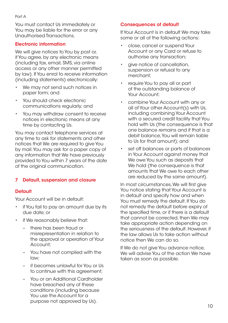<span id="page-9-0"></span>You must contact Us immediately or You may be liable for the error or any Unauthorised Transactions.

#### Electronic information

We will give notices to You by post or, if You agree, by any electronic means (including fax, email, SMS, via online access or any other manner permitted by law). If You enrol to receive information (including statements) electronically:

- We may not send such notices in paper form; and
- You should check electronic communications regularly; and
- You may withdraw consent to receive notices in electronic means at any time by contacting Us.

You may contact telephone services at any time to ask for statements and other notices that We are required to give You by mail. You may ask for a paper copy of any information that We have previously provided to You within 7 years of the date of the original communication.

#### 7 Default, suspension and closure

#### **Default**

Your Account will be in default:

- if You fail to pay an amount due by its due date; or
- if We reasonably believe that:
	- there has been fraud or misrepresentation in relation to the approval or operation of Your Account;
	- You have not complied with the law;
	- it becomes unlawful for You or Us to continue with this agreement;
	- You or an Additional Cardholder have breached any of these conditions (including because You use the Account for a purpose not approved by Us).

#### Consequences of default

If Your Account is in default We may take some or all of the following actions:

- close, cancel or suspend Your Account or any Card or refuse to authorise any transaction;
- give notice of cancellation, suspension or refusal to any merchant;
- require You to pay all or part of the outstanding balance of Your Account;
- combine Your Account with any or all of Your other Account(s) with Us, including combining Your Account with a secured credit facility that You hold with Us (the consequence is that one balance remains and if that is a debit balance, You will remain liable to Us for that amount); and
- set off balances or parts of balances in Your Account against money that We owe You such as deposits that We hold (the consequence is that amounts that We owe to each other are reduced by the same amount).

In most circumstances, We will first give You notice stating that Your Account is in default and specify how and when You must remedy the default. If You do not remedy the default before expiry of the specified time, or if there is a default that cannot be corrected, then We may take appropriate action depending on the seriousness of the default. However, if the law allows Us to take action without notice then We can do so.

If We do not give You advance notice, We will advise You of the action We have taken as soon as possible.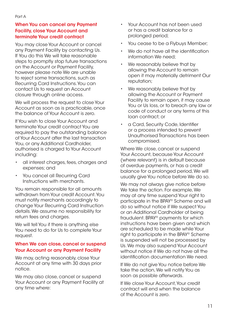#### When You can cancel any Payment Facility, close Your Account and terminate Your credit contract

You may close Your Account or cancel any Payment Facility by contacting Us. If You do this We will take reasonable steps to promptly stop future transactions on the Account or Payment Facility, however please note We are unable to reject some transactions, such as Recurring Card Instructions. You can contact Us to request an Account closure through online access.

We will process the request to close Your Account as soon as is practicable, once the balance of Your Account is zero.

If You wish to close Your Account and terminate Your credit contract You are required to pay the outstanding balance of Your Account after the last transaction You, or any Additional Cardholder, authorised is charged to Your Account including:

- all interest charges, fees, charges and expenses; and
- You cancel all Recurring Card Instructions with merchants.

You remain responsible for all amounts withdrawn from Your credit Account. You must notify merchants accordingly to change Your Recurring Card Instruction details. We assume no responsibility for return fees and charges.

We will tell You if there is anything else You need to do for Us to complete Your request.

#### When We can close, cancel or suspend Your Account or any Payment Facility

We may, acting reasonably, close Your Account at any time with 30 days prior notice.

We may also close, cancel or suspend Your Account or any Payment Facility at any time where:

- Your Account has not been used or has a credit balance for a prolonged period;
- You cease to be a Flybuys Member;
- We do not have all the identification information We need;
- We reasonably believe that by allowing the Account to remain open it may materially detriment Our reputation;
- We reasonably believe that by allowing the Account or Payment Facility to remain open, it may cause You or Us loss, or to breach any law or code of conduct or any terms of this loan contract; or
- a Card, Security Code, Identifier or a process intended to prevent Unauthorised Transactions has been compromised.

Where We close, cancel or suspend Your Account, because Your Account (where relevant) is in default because of overdue payments, or has a credit balance for a prolonged period, We will usually give You notice before We do so.

We may not always give notice before We take the action. For example, We may at any time suspend Your right to participate in the BPAY® Scheme and will do so without notice if We suspect You or an Additional Cardholder of being fraudulent. BPAY® payments for which instructions have been given and which are scheduled to be made while Your right to participate in the BPAY® Scheme is suspended will not be processed by Us. We may also suspend Your Account without notice if We do not have all the identification documentation We need.

If We do not give You notice before We take the action, We will notify You as soon as possible afterwards.

If We close Your Account, Your credit contract will end when the balance of the Account is zero.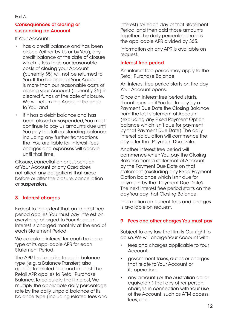#### <span id="page-11-0"></span>Consequences of closing or suspending an Account

If Your Account:

- has a credit balance and has been closed (either by Us or by You), any credit balance at the date of closure which is less than our reasonable costs of closing your Account (currently \$5) will not be returned to You. If the balance of Your Account is more than our reasonable costs of closing your Account (currently \$5) in cleared funds at the date of closure, We will return the Account balance to You; and
- if it has a debit balance and has been closed or suspended, You must continue to pay Us amounts due until You pay the full outstanding balance, including any further transactions that You are liable for. Interest, fees, charges and expenses will accrue until that time.

Closure, cancellation or suspension of Your Account or any Card does not affect any obligations that arose before or after the closure, cancellation or suspension.

#### 8 Interest charges

Except to the extent that an interest free period applies, You must pay interest on everything charged to Your Account. Interest is charged monthly at the end of each Statement Period.

We calculate interest for each balance type at its applicable APR for each Statement Period.

The APR that applies to each balance type (e.g. a Balance Transfer) also applies to related fees and interest. The Retail APR applies to Retail Purchase Balance. To calculate that interest, We multiply the applicable daily percentage rate by the daily unpaid balance of its balance type (including related fees and interest) for each day of that Statement Period, and then add those amounts together. The daily percentage rate is the applicable APR divided by 365.

Information on any APR is available on request.

#### Interest free period

An interest free period may apply to the Retail Purchase Balance.

An interest free period starts on the day Your Account opens.

Once an interest free period starts, it continues until You fail to pay by a Payment Due Date the Closing Balance from the last statement of Account (excluding any Fixed Payment Option balance which isn't due for payment by that Payment Due Date). The daily interest calculation will commence the day after that Payment Due Date.

Another interest free period will commence when You pay the Closing Balance from a statement of Account by the Payment Due Date on that statement (excluding any Fixed Payment Option balance which isn't due for payment by that Payment Due Date). The next interest free period starts on the day You pay that Closing Balance.

Information on current fees and charges is available on request.

#### 9 Fees and other charges You must pay

Subject to any law that limits Our right to do so, We will charge Your Account with:

- fees and charges applicable to Your Account;
- government taxes, duties or charges that relate to Your Account or its operation;
- any amount (or the Australian dollar equivalent) that any other person charges in connection with Your use of the Account, such as ATM access fees; and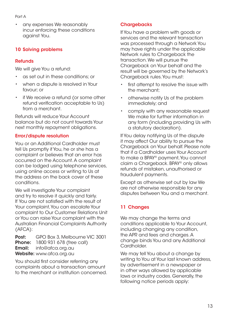<span id="page-12-0"></span>• any expenses We reasonably incur enforcing these conditions against You.

#### 10 Solving problems

#### **Refunds**

We will give You a refund:

- as set out in these conditions; or
- when a dispute is resolved in Your favour; or
- if We receive a refund (or some other refund verification acceptable to Us) from a merchant.

Refunds will reduce Your Account balance but do not count towards Your next monthly repayment obligations.

#### Error/dispute resolution

You or an Additional Cardholder must tell Us promptly if You, he or she has a complaint or believes that an error has occurred on the Account. A complaint can be lodged using telephone services, using online access or writing to Us at the address on the back cover of these conditions.

We will investigate Your complaint and try to resolve it quickly and fairly. If You are not satisfied with the result of Your complaint, You can escalate Your complaint to Our Customer Relations Unit or You can raise Your complaint with the Australian Financial Complaints Authority (AFCA):

Post: GPO Box 3, Melbourne VIC 3001 **Phone:** 1800 931 678 (free call) **Email:** info@afca.org.au Website: [www.afca.org.au](http://WWW.AFCA.ORG.AU)

You should first consider referring any complaints about a transaction amount to the merchant or institution concerned.

#### **Chargebacks**

If You have a problem with goods or services and the relevant transaction was processed through a Network You may have rights under the applicable Network rules to Chargeback the transaction. We will pursue the Chargeback on Your behalf and the result will be governed by the Network's Chargeback rules. You must:

- first attempt to resolve the issue with the merchant;
- otherwise notify Us of the problem immediately; and
- comply with any reasonable request We make for further information in any form (including providing Us with a statutory declaration).

If You delay notifying Us of the dispute it may affect Our ability to pursue the Chargeback on Your behalf. Please note that if a Cardholder uses Your Account to make a BPAY® payment, You cannot claim a Chargeback. BPAY® only allows refunds of mistaken, unauthorised or fraudulent payments.

Except as otherwise set out by law We are not otherwise responsible for any disputes between You and a merchant.

#### 11 Changes

We may change the terms and conditions applicable to Your Account, including changing any condition, the APR and fees and charges. A change binds You and any Additional Cardholder.

We may tell You about a change by writing to You at Your last known address, by advertisement in a newspaper or in other ways allowed by applicable laws or industry codes. Generally, the following notice periods apply: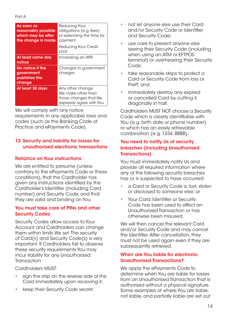<span id="page-13-0"></span>

| As soon as<br>reasonably possible<br>which may be after<br>the change is made | Reducing Your<br>obligations (e.g. fees)<br>or extending the time for<br>payment            |
|-------------------------------------------------------------------------------|---------------------------------------------------------------------------------------------|
|                                                                               | Reducing Your Credit<br>I imit                                                              |
| At least same day<br>notice                                                   | Increasing an APR                                                                           |
| No notice if the<br>government<br>publishes the<br>change                     | Changes to government<br>charges                                                            |
| At least 30 days                                                              | Any other change<br>We make other than<br>those changes that We<br>expressly agree with You |

We will comply with any notice requirements in any applicable laws and codes (such as the Banking Code of Practice and ePayments Code).

#### 12 Security and liability for losses for unauthorised electronic transactions

#### Reliance on Your instructions

We are entitled to presume (unless contrary to the ePayments Code or these conditions), that the Cardholder has given any instructions identified by the Cardholder's Identifier (including Card number) and Security Code, and that they are valid and binding on You.

#### You must take care of PINs and other **Security Codes**

Security Codes allow access to Your Account and Cardholders can change them within limits We set. The security of Card(s) and Security Code(s) is very important. If Cardholders fail to observe these security requirements You may incur liability for any Unauthorised Transaction.

Cardholders MUST:

- sign the strip on the reverse side of the Card immediately upon receiving it;
- keep their Security Code secret;
- not let anyone else use their Card and/or Security Code or Identifier and Security Code;
- use care to prevent anyone else seeing their Security Code (including when using an ATM or EFTPOS terminal) or overhearing their Security Code;
- take reasonable steps to protect a Card or Security Code from loss or theft; and
- immediately destroy any expired or cancelled Card by cutting it diagonally in half.

Cardholders MUST NOT choose a Security Code which is clearly identifiable with You (e.g. birth date or phone number) or which has an easily retrievable combination (e.g. 1234, BBBB).

#### You need to notify Us of security breaches (including Unauthorised Transactions)

You must immediately notify Us and provide all required information where any of the following security breaches has or is suspected to have occurred:

- a Card or Security Code is, lost, stolen or disclosed to someone else; or
- Your Card, Identifier or Security Code has been used to effect an Unauthorised Transaction or has otherwise been misused.

We will then cancel the relevant Card and/or Security Code and may cancel the Identifier. After cancellation, they must not be used again even if they are subsequently retrieved.

#### When are You liable for electronic Unauthorised Transactions?

We apply the ePayments Code to determine when You are liable for losses from an Unauthorised Transaction that is authorised without a physical signature. Some examples of where You are liable, not liable, and partially liable are set out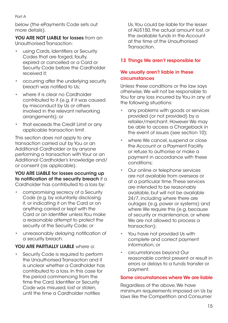<span id="page-14-0"></span>below (the ePayments Code sets out more details).

YOU ARE NOT LIABLE for losses from an Unauthorised Transaction:

- using Cards, Identifiers or Security Codes that are forged, faulty, expired or cancelled or a Card or Security Code before the Cardholder received it;
- occurring after the underlying security breach was notified to Us;
- where it is clear no Cardholder contributed to it (e.g. if it was caused by misconduct by Us or others involved in the relevant networking arrangements); or
- that exceeds the Credit Limit or any applicable transaction limit.

This section does not apply to any transaction carried out by You or an Additional Cardholder or by anyone performing a transaction with Your or an Additional Cardholder's knowledge and/ or consent (as applicable).

#### YOU ARE LIABLE for losses occurring up to notification of the security breach if a Cardholder has contributed to a loss by:

- compromising secrecy of a Security Code (e.g. by voluntarily disclosing it, or indicating it on the Card or on anything carried or kept with the Card or an Identifier unless You make a reasonable attempt to protect the security of the Security Code; or
- unreasonably delaying notification of a security breach.

#### YOU ARE PARTIALLY LIABLE where a:

Security Code is required to perform the Unauthorised Transaction and it is unclear whether a Cardholder has contributed to a loss. In this case for the period commencing from the time the Card, Identifier or Security Code was misused, lost or stolen, until the time a Cardholder notifies

Us, You could be liable for the lesser of AU\$150, the actual amount lost, or the available funds in the Account at the time of the Unauthorised Transaction.

#### 13 Things We aren't responsible for

#### We usually aren't liable in these circumstances

Unless these conditions or the law says otherwise, We will not be responsible to You for any loss incurred by You in any of the following situations:

- any problems with goods or services provided (or not provided) by a retailer/merchant. However We may be able to access a Chargeback in the event of issues (see section 10);
- where We cancel, suspend or close the Account or a Payment Facility or refuse to authorise or make a payment in accordance with these conditions;
- Our online or telephone services are not available from overseas or at a particular time. These services are intended to be reasonably available, but will not be available 24/7, including where there are outages (e.g. power or systems) and where We require this (e.g. because of security or maintenance, or where We are not allowed to process a transaction);
- You have not provided Us with complete and correct payment information; or
- circumstances beyond Our reasonable control prevent or result in errors or delays to a funds transfer or payment.

#### Some circumstances where We are liable

Regardless of the above, We have minimum requirements imposed on Us by laws like the Competition and Consumer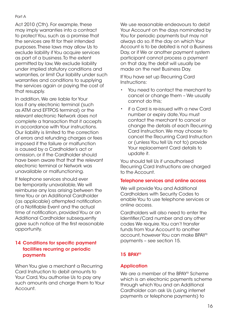<span id="page-15-0"></span>Act 2010 (Cth). For example, these may imply warranties into a contract to protect You, such as a promise that the services are fit for their intended purposes. These laws may allow Us to exclude liability if You acquire services as part of a business. To the extent permitted by law, We exclude liability under implied statutory conditions and warranties, or limit Our liability under such warranties and conditions to supplying the services again or paying the cost of that resupply.

In addition, We are liable for Your loss if any electronic terminal (such as ATM and EFTPOS terminal) or the relevant electronic Network does not complete a transaction that it accepts in accordance with Your instructions. Our liability is limited to the correction of errors and refunding charges or fees imposed if the failure or malfunction is caused by a Cardholder's act or omission, or if the Cardholder should have been aware that that the relevant electronic terminal or Network was unavailable or malfunctioning.

If telephone services should ever be temporarily unavailable, We will reimburse any loss arising between the time You or an Additional Cardholder (as applicable) attempted notification of a Notifiable Event and the actual time of notification, provided You or an Additional Cardholder subsequently gave such notice at the first reasonable opportunity.

#### 14 Conditions for specific payment facilities recurring or periodic payments

When You give a merchant a Recurring Card Instruction to debit amounts to Your Card, You authorise Us to pay any such amounts and charge them to Your Account.

We use reasonable endeavours to debit Your Account on the days nominated by You for periodic payments but may not always do so. If the day on which Your Account is to be debited is not a Business Day, or if We or another payment system participant cannot process a payment on that day, the debit will usually be made on the next Business Day.

If You have set up Recurring Card Instructions:

- You need to contact the merchant to cancel or change them – We usually cannot do this;
- if a Card is re-issued with a new Card number or expiry date, You must contact the merchant to cancel or change the details of each Recurring Card Instruction. We may choose to cancel the Recurring Card Instruction or (unless You tell Us not to) provide Your replacement Card details to update it.

You should tell Us if unauthorised Recurring Card Instructions are charged to the Account.

#### Telephone services and online access

We will provide You and Additional Cardholders with Security Codes to enable You to use telephone services or online access.

Cardholders will also need to enter the Identifier/Card number and any other codes We require. You can't transfer funds from Your Account to another account, however You can make BPAY® payments – see section 15.

#### 15 BPAY®

#### **Application**

We are a member of the BPAY<sup>®</sup> Scheme which is an electronic payments scheme through which You and an Additional Cardholder can ask Us (using internet payments or telephone payments) to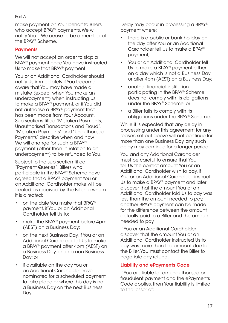make payment on Your behalf to Billers who accept BPAY® payments. We will notify You if We cease to be a member of the BPAY® Scheme.

#### **Payments**

We will not accept an order to stop a BPAY® payment once You have instructed Us to make that BPAY® payment.

You or an Additional Cardholder should notify Us immediately if You become aware that You may have made a mistake (except when You make an underpayment) when instructing Us to make a BPAY® payment, or if You did not authorise a BPAY® payment that has been made from Your Account. Sub-sections titled "Mistaken Payments, Unauthorised Transactions and Fraud", "Mistaken Payments" and "Unauthorised Payments" describe when and how We will arrange for such a BPAY® payment (other than in relation to an underpayment) to be refunded to You.

Subject to the sub-section titled "Payment Queries", Billers who participate in the BPAY® Scheme have agreed that a BPAY® payment You or an Additional Cardholder make will be treated as received by the Biller to whom it is directed:

- on the date You make that BPAY® payment, if You or an Additional Cardholder tell Us to;
- make the BPAY® payment before 4pm (AEST) on a Business Day;
- on the next Business Day, if You or an Additional Cardholder tell Us to make a BPAY® payment after 4pm (AEST) on a Business Day, or on a non Business Day; or
- if available on the day You or an Additional Cardholder have nominated for a scheduled payment to take place or where this day is not a Business Day on the next Business Day.

Delay may occur in processing a BPAY® payment where:

- there is a public or bank holiday on the day after You or an Additional Cardholder tell Us to make a BPAY® payment;
- You or an Additional Cardholder tell Us to make a BPAY® payment either on a day which is not a Business Day or after 4pm (AEST) on a Business Day;
- another financial institution participating in the BPAY® Scheme does not comply with its obligations under the BPAY® Scheme; or
- a Biller fails to comply with its obligations under the BPAY® Scheme.

While it is expected that any delay in processing under this agreement for any reason set out above will not continue for more than one Business Day, any such delay may continue for a longer period.

You and any Additional Cardholder must be careful to ensure that You tell Us the correct amount You or an Additional Cardholder wish to pay. If You or an Additional Cardholder instruct Us to make a BPAY® payment and later discover that the amount You or an Additional Cardholder told Us to pay was less than the amount needed to pay, another BPAY® payment can be made for the difference between the amount actually paid to a Biller and the amount needed to pay.

If You or an Additional Cardholder discover that the amount You or an Additional Cardholder instructed Us to pay was more than the amount due to the Biller, You must contact the Biller to negotiate any refund.

#### Liability and ePayments Code

If You are liable for an unauthorised or fraudulent payment and the ePayments Code applies, then Your liability is limited to the lesser of: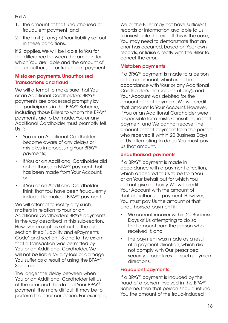- 1. the amount of that unauthorised or fraudulent payment; and
- 2. the limit (if any) of Your liability set out in these conditions.

If 2. applies, We will be liable to You for the difference between the amount for which You are liable and the amount of the unauthorised or fraudulent payment.

#### Mistaken payments, Unauthorised Transactions and fraud

We will attempt to make sure that Your or an Additional Cardholder's BPAY® payments are processed promptly by the participants in the BPAY® Scheme, including those Billers to whom the BPAY® payments are to be made. You or any Additional Cardholder must promptly tell Us if:

- You or an Additional Cardholder become aware of any delays or mistakes in processing Your BPAY® payments;
- if You or an Additional Cardholder did not authorise a BPAY® payment that has been made from Your Account; or
- if You or an Additional Cardholder think that You have been fraudulently induced to make a BPAY® payment.

We will attempt to rectify any such matters in relation to Your or an Additional Cardholder's BPAY® payments in the way described in this sub-section. However, except as set out in the subsection titled "Liability and ePayments Code" and section 13 and to the extent that a transaction was permitted by You or an Additional Cardholder, We will not be liable for any loss or damage You suffer as a result of using the BPAY® Scheme.

The longer the delay between when You or an Additional Cardholder tell Us of the error and the date of Your BPAY® payment, the more difficult it may be to perform the error correction. For example, We or the Biller may not have sufficient records or information available to Us to investigate the error. If this is the case, You may need to demonstrate that an error has occurred, based on Your own records, or liaise directly with the Biller to correct the error.

#### Mistaken payments

If a BPAY® payment is made to a person or for an amount, which is not in accordance with Your or any Additional Cardholder's instructions (if any), and Your Account was debited for the amount of that payment, We will credit that amount to Your Account. However, if You or an Additional Cardholder were responsible for a mistake resulting in that payment and We cannot recover the amount of that payment from the person who received it within 20 Business Days of Us attempting to do so, You must pay Us that amount.

#### Unauthorised payments

If a BPAY® payment is made in accordance with a payment direction, which appeared to Us to be from You or on Your behalf but for which You did not give authority, We will credit Your Account with the amount of that unauthorised payment. However, You must pay Us the amount of that unauthorised payment if:

- We cannot recover within 20 Business Days of Us attempting to do so that amount from the person who received it; and
- the payment was made as a result of a payment direction, which did not comply with Our prescribed security procedures for such payment directions.

#### Fraudulent payments

If a BPAY® payment is induced by the fraud of a person involved in the BPAY® Scheme, then that person should refund You the amount of the fraud-induced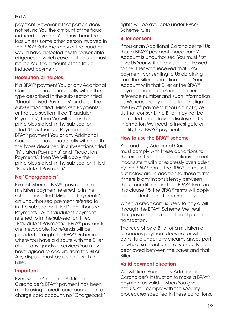payment. However, if that person does not refund You the amount of the fraud induced payment, You must bear the loss unless some other person involved in the BPAY® Scheme knew of the fraud or would have detected it with reasonable diligence, in which case that person must refund You the amount of the fraudinduced payment.

#### Resolution principles

If a BPAY® payment You or any Additional Cardholder have made falls within the type described in the sub-section titled "Unauthorised Payments" and also the sub-section titled "Mistaken Payments" or the sub-section titled "Fraudulent Payments", then We will apply the principles stated in the sub-section titled "Unauthorised Payments". If a BPAY® payment You or any Additional Cardholder have made falls within both the types described in sub-sections titled "Mistaken Payments" and "Fraudulent Payments", then We will apply the principles stated in the sub-section titled "Fraudulent Payments".

#### No "Chargebacks"

Except where a BPAY® payment is a mistaken payment referred to in the sub-section titled "Mistaken Payments", an unauthorised payment referred to in the sub-section titled "Unauthorised Payments", or a fraudulent payment referred to in the sub-section titled "Fraudulent Payments", BPAY® payments are irrevocable. No refunds will be provided through the BPAY® Scheme where You have a dispute with the Biller about any goods or services You may have agreed to acquire from the Biller. Any dispute must be resolved with the Biller.

#### Important

Even where Your or an Additional Cardholder's BPAY® payment has been made using a credit card account or a charge card account, no "Chargeback" rights will be available under BPAY® Scheme rules.

#### Biller consent

If You or an Additional Cardholder tell Us that a BPAY® payment made from Your Account is unauthorised, You must first give Us Your written consent addressed to the Biller who received that BPAY® payment, consenting to Us obtaining from the Biller information about Your Account with that Biller or the BPAY® payment, including Your customer reference number and such information as We reasonably require to investigate the BPAY® payment. If You do not give Us that consent, the Biller may not be permitted under law to disclose to Us the information We need to investigate or rectify that BPAY® payment.

#### How to use the BPAY® scheme

You and any Additional Cardholder must comply with these conditions to the extent that these conditions are not inconsistent with or expressly overridden by the BPAY® terms. The BPAY® terms set out below are in addition to those terms. If there is any inconsistency between these conditions and the BPAY® terms in this clause 15, the BPAY® terms will apply to the extent of that inconsistency.

When a credit card is used to pay a bill through the BPAY® Scheme, We treat that payment as a credit card purchase transaction.

The receipt by a Biller of a mistaken or erroneous payment does not or will not constitute under any circumstances part or whole satisfaction of any underlying debt owed between the payer and that Biller.

#### Valid payment direction

We will treat Your or any Additional Cardholder's instruction to make a BPAY® payment as valid if, when You give it to Us, You comply with the security procedures specified in these conditions.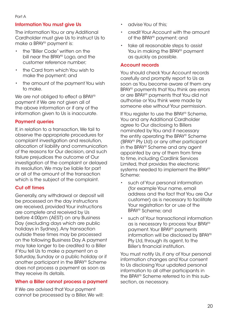#### Information You must give Us

The information You or any Additional Cardholder must give Us to instruct Us to make a BPAY® payment is:

- the "Biller Code" written on the bill near the BPAY® Logo, and the customer reference number;
- the Card from which You wish to make the payment; and
- the amount of the payment You wish to make.

We are not obliged to effect a BPAY<sup>®</sup> payment if We are not given all of the above information or if any of the information given to Us is inaccurate.

#### Payment queries

If, in relation to a transaction, We fail to observe the appropriate procedures for complaint investigation and resolution, allocation of liability and communication of the reasons for Our decision, and such failure prejudices the outcome of Our investigation of the complaint or delayed its resolution, We may be liable for part or all of the amount of the transaction which is the subject of the complaint.

#### Cut off times

Generally, any withdrawal or deposit will be processed on the day instructions are received, provided Your instructions are complete and received by Us before 4:00pm (AEST) on any Business Day (excluding days which are public holidays in Sydney). Any transaction outside these times may be processed on the following Business Day. A payment may take longer to be credited to a Biller if You tell Us to make a payment on a Saturday, Sunday or a public holiday or if another participant in the BPAY® Scheme does not process a payment as soon as they receive its details.

#### When a Biller cannot process a payment

If We are advised that Your payment cannot be processed by a Biller, We will:

- advise You of this;
- credit Your Account with the amount of the BPAY® payment; and
- take all reasonable steps to assist You in making the BPAY® payment as quickly as possible.

#### Account records

You should check Your Account records carefully and promptly report to Us as soon as You become aware of them any BPAY® payments that You think are errors or are BPAY® payments that You did not authorise or You think were made by someone else without Your permission.

If You register to use the BPAY® Scheme, You and any Additional Cardholder agree to Our disclosing to Billers nominated by You and if necessary the entity operating the BPAY® Scheme (BPAY® Pty Ltd) or any other participant in the BPAY® Scheme and any agent appointed by any of them from time to time, including Cardlink Services Limited, that provides the electronic systems needed to implement the BPAY® Scheme:

- such of Your personal information (for example Your name, email address and the fact that You are Our customer) as is necessary to facilitate Your registration for or use of the BPAY® Scheme; and
- such of Your transactional information as is necessary to process Your BPAY® payment. Your BPAY® payments information will be disclosed by BPAY® Pty Ltd, through its agent, to the Biller's financial institution.

You must notify Us, if any of Your personal information changes and Your consent to Us disclosing Your updated personal information to all other participants in the BPAY® Scheme referred to in this subsection, as necessary.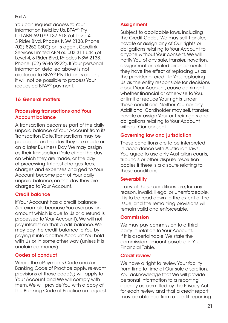<span id="page-20-0"></span>You can request access to Your information held by Us, BPAY® Pty Ltd ABN 69 079 137 518 (of Level 4, 3 Rider Blvd, Rhodes NSW 2138. Phone: (02) 8252 0500) or its agent, Cardlink Services Limited ABN 60 003 311 644 (of Level 4, 3 Rider Blvd, Rhodes NSW 2138. Phone: (02) 9646 9222). If Your personal information detailed above is not disclosed to BPAY® Pty Ltd or its agent, it will not be possible to process Your requested BPAY® payment.

#### 16 General matters

#### Processing transactions and Your Account balance

A transaction becomes part of the daily unpaid balance of Your Account from its Transaction Date. Transactions may be processed on the day they are made or on a later Business Day. We may assign as their Transaction Date either the day on which they are made, or the day of processing. Interest charges, fees, charges and expenses charged to Your Account become part of Your daily unpaid balance, on the day they are charged to Your Account.

#### Credit balance

If Your Account has a credit balance (for example because You overpay an amount which is due to Us or a refund is processed to Your Account), We will not pay interest on that credit balance. We may pay the credit balance to You by paying it into another Account You hold with Us or in some other way (unless it is unclaimed money).

#### Codes of conduct

Where the ePayments Code and/or Banking Code of Practice apply, relevant provisions of those code(s) will apply to Your Account and We will comply with them. We will provide You with a copy of the Banking Code of Practice on request.

#### **Assignment**

Subject to applicable laws, including the Credit Codes, We may sell, transfer, novate or assign any of Our rights or obligations relating to Your Account to anyone without Your consent. We will notify You of any sale, transfer, novation, assignment or related arrangements if they have the effect of replacing Us as the provider of credit to You, replacing Us as the entity responsible for decisions about Your Account, cause detriment whether financial or otherwise to You, or limit or reduce Your rights under these conditions. Neither You nor any Additional Cardholder may sell, transfer, novate or assign Your or their rights and obligations relating to Your Account without Our consent.

#### Governing law and jurisdiction

These conditions are to be interpreted in accordance with Australian laws. You agree to use only Australian courts, tribunals or other dispute resolution bodies if there is a dispute relating to these conditions.

#### **Severability**

If any of these conditions are, for any reason, invalid, illegal or unenforceable, it is to be read down to the extent of the issue, and the remaining provisions will remain valid and enforceable.

#### Commission

We may pay commission to a third party in relation to Your Account. If it is ascertainable, We state the commission amount payable in Your Financial Table.

#### Credit review

We have a right to review Your facility from time to time at Our sole discretion. You acknowledge that We will provide personal information to a reporting agency as permitted by the Privacy Act for each review and that a credit report may be obtained from a credit reporting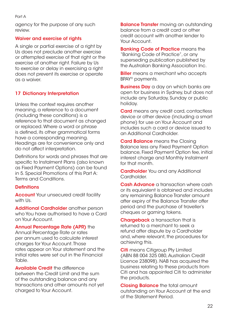<span id="page-21-0"></span>agency for the purpose of any such review.

#### Waiver and exercise of rights

A single or partial exercise of a right by Us does not preclude another exercise or attempted exercise of that right or the exercise of another right. Failure by Us to exercise or delay in exercising a right does not prevent its exercise or operate as a waiver.

#### 17 Dictionary Interpretation

Unless the context requires another meaning, a reference to a document (including these conditions) is a reference to that document as changed or replaced. Where a word or phrase is defined, its other grammatical forms have a corresponding meaning. Headings are for convenience only and do not affect interpretation.

Definitions for words and phrases that are specific to Instalment Plans (also known as Fixed Payment Options) can be found in 5. Special Promotions of this Part A: Terms and Conditions.

#### **Definitions**

**Account** Your unsecured credit facility with Us.

Additional Cardholder another person who You have authorised to have a Card on Your Account.

Annual Percentage Rate (APR) the Annual Percentage Rate or rates per annum used to calculate interest charges for Your Account. Those rates appear on Your statement and the initial rates were set out in the Financial Table.

Available Credit the difference between the Credit Limit and the sum of the outstanding balance and any transactions and other amounts not yet charged to Your Account.

**Balance Transfer** moving an outstanding balance from a credit card or other credit account with another lender to Your Account.

**Banking Code of Practice means the** "Banking Code of Practice", or any superseding publication published by the Australian Banking Association Inc.

**Biller** means a merchant who accepts BPAY® payments.

**Business Day** a day on which banks are open for business in Sydney, but does not include any Saturday, Sunday or public holiday.

Card means any credit card, contactless device or other device (including a smart phone) for use on Your Account and includes such a card or device issued to an Additional Cardholder.

**Card Balance** means the Closing Balance less any Fixed Payment Option balance, Fixed Payment Option fee, initial interest charge and Monthly Instalment for that month.

**Cardholder** You and any Additional Cardholder.

Cash Advance a transaction where cash or its equivalent is obtained and includes any remaining Balance Transfer amount after expiry of the Balance Transfer offer period and the purchase of traveller's cheques or gaming tokens.

**Chargeback** a transaction that is returned to a merchant to seek a refund after dispute by a Cardholder and, where relevant, the procedures for achieving this.

**Citi** means Citigroup Pty Limited (ABN 88 004 325 080, Australian Credit Licence 238098). NAB has acquired the business relating to these products from Citi and has appointed Citi to administer the products.

Closing Balance the total amount outstanding on Your Account at the end of the Statement Period.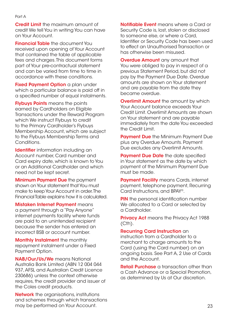**Credit Limit** the maximum amount of credit We tell You in writing You can have on Your Account.

**Financial Table** the document You received upon opening of Your Account that contained the table of applicable fees and charges. This document forms part of Your pre-contractual statement and can be varied from time to time in accordance with these conditions.

**Fixed Payment Option** a plan under which a particular balance is paid off in a specified number of equal instalments.

**Flybuys Points** means the points earned by Cardholders on Eligible Transactions under the Reward Program which We instruct Flybuys to credit to the Primary Cardholder's Flybuys Membership Account, which are subject to the Flybuys Membership Terms and Conditions.

Identifier information including an Account number, Card number and Card expiry date, which is known to You or an Additional Cardholder and which need not be kept secret.

**Minimum Payment Due** the payment shown on Your statement that You must make to keep Your Account in order. The Financial Table explains how it is calculated.

Mistaken Internet Payment means a payment through a "Pay Anyone" internet payments facility where funds are paid to an unintended recipient because the sender has entered an incorrect BSB or account number.

Monthly Instalment the monthly repayment instalment under a Fixed Payment Option.

NAB/Our/Us/We means National Australia Bank Limited (ABN 12 004 044 937, AFSL and Australian Credit Licence 230686) unless the context otherwise requires, the credit provider and issuer of the Coles credit products.

**Network** the organisations, institutions and schemes through which transactions may be performed on Your Account.

Notifiable Event means where a Card or Security Code is, lost, stolen or disclosed to someone else, or where a Card, Identifier or Security Code has been used to effect an Unauthorised Transaction or has otherwise been misused.

**Overdue Amount** any amount that You were obliged to pay in respect of a previous Statement Period, but did not pay by the Payment Due Date. Overdue amounts are shown on Your statement and are payable from the date they became overdue.

**Overlimit Amount** the amount by which Your Account balance exceeds Your Credit Limit. Overlimit Amounts are shown on Your statement and are payable immediately from the date You exceeded the Credit Limit.

**Payment Due** the Minimum Payment Due plus any Overdue Amounts. Payment Due excludes any Overlimit Amounts.

**Payment Due Date** the date specified in Your statement as the date by which payment of the Minimum Payment Due must be made.

**Payment Facility** means Cards, internet payment, telephone payment, Recurring Card Instructions, and BPAY®.

**PIN** the personal identification number We allocated to a Card or selected by a Cardholder.

**Privacy Act** means the Privacy Act 1988  $(Cth)$ .

#### Recurring Card Instruction an

instruction from a Cardholder to a merchant to charge amounts to the Card (using the Card number) on an ongoing basis. See Part A, 2 Use of Cards and the Account.

**Retail Purchase** a transaction other than a Cash Advance or a Special Promotion, as determined by Us at Our discretion.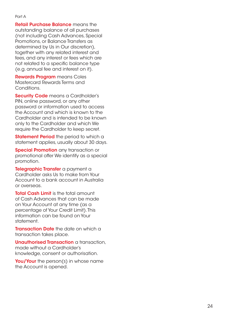Retail Purchase Balance means the outstanding balance of all purchases (not including Cash Advances, Special Promotions, or Balance Transfers as determined by Us in Our discretion), together with any related interest and fees, and any interest or fees which are not related to a specific balance type (e.g. annual fee and interest on it).

Rewards Program means Coles Mastercard Rewards Terms and Conditions.

Security Code means a Cardholder's PIN, online password, or any other password or information used to access the Account and which is known to the Cardholder and is intended to be known only to the Cardholder and which We require the Cardholder to keep secret.

Statement Period the period to which a statement applies, usually about 30 days.

**Special Promotion** any transaction or promotional offer We identify as a special promotion.

Telegraphic Transfer a payment a Cardholder asks Us to make from Your Account to a bank account in Australia or overseas.

**Total Cash Limit** is the total amount of Cash Advances that can be made on Your Account at any time (as a percentage of Your Credit Limit). This information can be found on Your statement.

**Transaction Date** the date on which a transaction takes place.

Unauthorised Transaction a transaction. made without a Cardholder's knowledge, consent or authorisation.

You/Your the person(s) in whose name the Account is opened.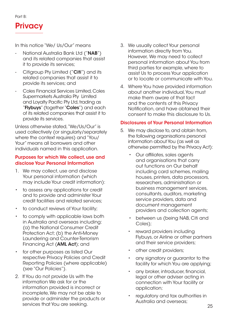<span id="page-24-0"></span>Part B:



In this notice "We/ Us/Our" means

- National Australia Bank Ltd ("NAB") and its related companies that assist it to provide its services;
- Citigroup Pty Limited ("Citi") and its related companies that assist it to provide its services; and
- Coles Financial Services Limited, Coles Supermarkets Australia Pty Limited and Loyalty Pacific Pty Ltd, trading as "Flybuys" (together "Coles") and each of its related companies that assist it to provide its services.

Unless otherwise stated, "We/Us/Our" is used collectively (or singularly/separately where the context requires) and "You/ Your" means all borrowers and other individuals named in this application.

#### Purposes for which We collect, use and disclose Your Personal Information

- 1. We may collect, use and disclose Your personal information (which may include Your credit information):
- to assess any applications for credit and to provide and administer Your credit facilities and related services;
- to conduct reviews of Your facility;
- to comply with applicable laws both in Australia and overseas including: (a) the National Consumer Credit Protection Act; (b) the Anti-Money Laundering and Counter-Terrorism Financing Act (AML Act); and
- for other purposes as listed Our respective Privacy Policies and Credit Reporting Policies (where applicable) (see "Our Policies").
- 2. If You do not provide Us with the information We ask for or the information provided is incorrect or incomplete, We may not be able to provide or administer the products or services that You are seeking.
- 3. We usually collect Your personal information directly from You. However, We may need to collect personal information about You from third parties for example, where to assist Us to process Your application or to locate or communicate with You.
- 4. Where You have provided information about another individual, You must make them aware of that fact and the contents of this Privacy Notification, and have obtained their consent to make this disclosure to Us.

#### Disclosures of Your Personal Information

- 5. We may disclose to, and obtain from, the following organisations personal information about You (as well as otherwise permitted by the Privacy Act):
	- Our affiliates, sales agents and organisations that carry out functions on Our behalf including card schemes, mailing houses, printers, data processors, researchers, administration or business management services, consultants, auditors, marketing service providers, data and document management providers and collection agents;
	- between us (being NAB, Citi and Coles);
	- reward providers including Flybuys, or Airline or other partners and their service providers;
	- other credit providers;
	- any signatory or guarantor to the facility for which You are applying;
	- any broker, introducer, financial, legal or other adviser acting in connection with Your facility or application;
	- regulatory and tax authorities in Australia and overseas;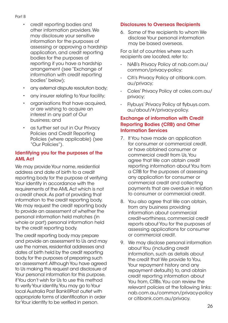#### Part B

- credit reporting bodies and other information providers. We may disclosure your sensitive information for the purposes of assessing or approving a hardship application, and credit reporting bodies for the purposes of reporting if you have a hardship arrangement (see "Exchange of information with credit reporting bodies" below);
- any external dispute resolution body;
- any insurer relating to Your facility;
- organisations that have acquired, or are wishing to acquire an interest in any part of Our business; and
- as further set out in Our Privacy Policies and Credit Reporting Policies (where applicable) (see "Our Policies").

#### Identifying you for the purposes of the AML Act

We may provide Your name, residential address and date of birth to a credit reporting body for the purpose of verifying Your identity in accordance with the requirements of the AML Act which is not a credit check. As part of providing that information to the credit reporting body, We may request the credit reporting body to provide an assessment of whether the personal information held matches (in whole or part) personal information held by the credit reporting body.

The credit reporting body may prepare and provide an assessment to Us and may use the names, residential addresses and dates of birth held by the credit reporting body, for the purposes of preparing such an assessment. Although You have agreed to Us making this request and disclosure of Your personal information for this purpose, if You don't wish for Us to use this method to verify Your identity, You may go to Your local Australia Post Bank@Post outlet with appropriate forms of identification in order for Your identity to be verified in person.

#### Disclosures to Overseas Recipients

6. Some of the recipients to whom We disclose Your personal information may be based overseas.

For a list of countries where such recipients are located, refer to:

- NAB's Privacy Policy at nab.com.au/ common/privacy-policy;
- Citi's Privacy Policy at citibank.com. au/privacy;
- Coles' Privacy Policy at coles.com.au/ privacy;
- Flybuys' Privacy Policy at flybuys.com. au/about/#/privacy-policy.

#### Exchange of information with Credit Reporting Bodies (CRB) and Other Information Services

- 7. If You have made an application for consumer or commercial credit, or have obtained consumer or commercial credit from Us, You agree that We can obtain credit reporting information about You from a CRB for the purposes of assessing any application for consumer or commercial credit and collecting payments that are overdue in relation to consumer or commercial credit.
- 8. You also agree that We can obtain, from any business providing information about commercial credit-worthiness, commercial credit reports about You for the purposes of assessing applications for consumer or commercial credit.
- 9. We may disclose personal information about You (including credit information, such as details about the credit that We provide to You, Your repayment history and any repayment defaults) to, and obtain credit reporting information about You from, CRBs. You can review the relevant policies at the following links: nab.com.au/common/privacy-policy or citibank.com.au/privacy.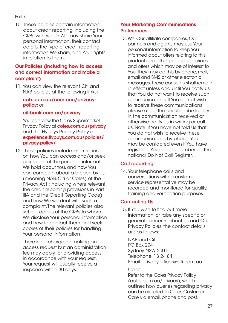10. These policies contain information about credit reporting, including the CRBs with which We may share Your personal information, their contact details, the type of credit reporting information We share, and Your rights in relation to them.

#### Our Policies (including how to access and correct information and make a complaint)

- 11. You can view the relevant Citi and NAB policies at the following links:
- nab.com.au/common/privacypolicy; or
- citibank.com.au/privacy

You can view the Coles Supermarket Privacy Policy at coles.com.au/privacy and the Flybuys Privacy Policy at experience.flybuys.com.au/policies/ privacy-policy/

12. These policies include information on how You can access and/or seek correction of the personal information We hold about You, and how You can complain about a breach by Us (meaning NAB, Citi or Coles) of the Privacy Act (including where relevant, the credit reporting provisions in Part IIIA and the Credit Reporting Code) and how We will deal with such a complaint. The relevant policies also set out details of the CRBs to whom We disclose Your personal information and how to contact them and seek copies of their policies for handling Your personal information.

There is no charge for making an access request but an administration fee may apply for providing access in accordance with your request. Your request will usually receive a response within 30 days.

#### Your Marketing Communications **Preferences**

13. We, Our affiliate companies, Our partners and agents may use Your personal information to keep You informed about offers relating to this product and other products, services and offers which may be of interest to You. They may do this by phone, mail, email and SMS or other electronic messages. These consents shall remain in effect unless and until You notify Us that You do not want to receive such communications. If You do not wish to receive these communications please utilise the unsubscribe facility in the communication received or otherwise notify Us in writing or call Us. Note: If You have not told Us that You do not wish to receive these communications by phone, You may be contacted even if You have registered Your phone number on the national Do Not Call Register.

#### Call recording

14. Your telephone calls and conversations with a customer service representative may be recorded and monitored for quality, training and verification purposes.

#### Contacting Us

15. If You wish to find out more information, or raise any specific or general concerns about Us and Our Privacy Policies, the contact details are as follows:

NAB and Citi PO Box 204 Sydney NSW 2001 Telephone: 13 24 84 Email: [privacy.officer@citi.com.au](mailto:privacy.officer%40citi.com.au?subject=) 

#### Coles

Refer to the Coles Privacy Policy (coles.com.au/privacy), which outlines how queries regarding privacy can be directed to Coles Customer Care via email, phone and post.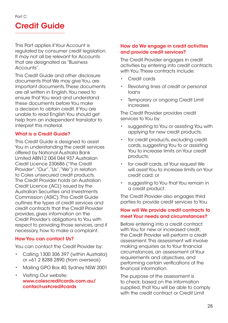## <span id="page-27-0"></span>Credit Guide

This Part applies if Your Account is regulated by consumer credit legislation. It may not all be relevant for Accounts that are designated as "Business Accounts".

This Credit Guide and other disclosure documents that We may give You, are important documents. These documents are all written in English. You need to ensure that You read and understand these documents before You make a decision to obtain credit. If You are unable to read English You should get help from an independent translator to interpret this material.

#### What is a Credit Guide?

This Credit Guide is designed to assist You in understanding the credit services offered by National Australia Bank Limited ABN12 004 044 937 Australian Credit Licence 230686 ("the Credit Provider", "Our", "Us", "We") in relation to Coles unsecured credit products. The Credit Provider holds an Australian Credit Licence (ACL) issued by the Australian Securities and Investments Commission (ASIC). This Credit Guide outlines the types of credit services and credit contracts that the Credit Provider provides, gives information on the Credit Provider's obligations to You with respect to providing those services, and if necessary, how to make a complaint.

#### How You can contact Us?

You can contact the Credit Provider by:

- Calling 1300 306 397 (within Australia) or +61 2 8288 2890 (from overseas)
- Mailing GPO Box 40, Sydney NSW 2001
- Visiting Our website: [www.colescreditcards.com.au/](http://www.colescreditcards.com.au/contact-us#creditcards) [contact-us#creditcards](http://www.colescreditcards.com.au/contact-us#creditcards)

#### How do We engage in credit activities and provide credit services?

The Credit Provider engages in credit activities by entering into credit contracts with You. These contracts include:

- Credit cards
- Revolving lines of credit or personal loans
- **Temporary or ongoing Credit Limit** increases

The Credit Provider provides credit services to You by:

- suggesting to You or assisting You with applying for new credit products;
- for credit products, excluding credit cards, suggesting You to or assisting You to increase limits on Your credit products;
- for credit cards, at Your request We will assist You to increase limits on Your credit card; or
- suggesting to You that You remain in a credit product.

The Credit Provider also engages third parties to provide credit services to You.

#### How will We provide credit contracts to meet Your needs and circumstances?

Before entering into a credit contract with You for new or increased credit, the Credit Provider will perform a credit assessment. This assessment will involve making enquiries as to Your financial circumstances, an assessment of Your requirements and objectives, and performing certain verifications of the financial information.

The purpose of the assessment is to check, based on the information supplied, that You will be able to comply with the credit contract or Credit Limit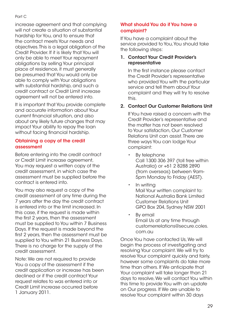#### Part C

increase agreement and that complying will not create a situation of substantial hardship for You, and to ensure that the contract meets Your needs and objectives. This is a legal obligation of the Credit Provider. If it is likely that You will only be able to meet Your repayment obligations by selling Your principal place of residence, it must generally be presumed that You would only be able to comply with Your obligations with substantial hardship, and such a credit contract or Credit Limit increase agreement will not be entered into.

It is important that You provide complete and accurate information about Your current financial situation, and also about any likely future changes that may impact Your ability to repay the loan without facing financial hardship.

#### Obtaining a copy of the credit assessment

Before entering into the credit contract or Credit Limit increase agreement, You may request a written copy of the credit assessment, in which case the assessment must be supplied before the contract is entered into.

You may also request a copy of the credit assessment at any time during the 7 years after the day the credit contract is entered into or the limit increased. In this case, if the request is made within the first 2 years, then the assessment must be supplied to You within 7 Business Days. If the request is made beyond the first 2 years, then the assessment must be supplied to You within 21 Business Days. There is no charge for the supply of the credit assessment.

Note: We are not required to provide You a copy of the assessment if the credit application or increase has been declined or if the credit contract Your request relates to was entered into or Credit Limit increase occurred before 1 January 2011.

#### What should You do if You have a complaint?

If You have a complaint about the service provided to You, You should take the following steps:

#### 1. Contact Your Credit Provider's representative

 In the first instance please contact the Credit Provider's representative who provided You with the particular service and tell them about Your complaint and they will try to resolve this.

#### 2. Contact Our Customer Relations Unit

 If You have raised a concern with the Credit Provider's representative and the matter has not been resolved to Your satisfaction, Our Customer Relations Unit can assist. There are three ways You can lodge Your complaint:

- By telephone Call 1300 306 397 (toll free within Australia) or +61 2 8288 2890 (from overseas) between 9am-5pm Monday to Friday (AEST).
- In writing Mail Your written complaint to: National Australia Bank Limited Customer Relations Unit GPO Box 204, Sydney NSW 2001
- By email Email Us at any time through [customerrelations@secure.coles.](mailto:customerrelations%40secure.coles.com.au?subject=) [com.au](mailto:customerrelations%40secure.coles.com.au?subject=)

Once You have contacted Us, We will begin the process of investigating and resolving Your complaint. We will try to resolve Your complaint quickly and fairly, however some complaints do take more time than others. If We anticipate that Your complaint will take longer than 21 days to resolve, We will contact You within this time to provide You with an update on Our progress. If We are unable to resolve Your complaint within 30 days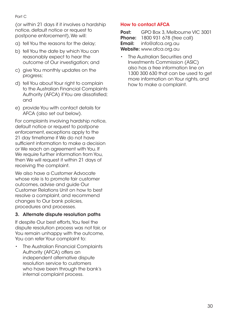(or within 21 days if it involves a hardship notice, default notice or request to postpone enforcement), We will:

- a) tell You the reasons for the delay;
- b) tell You the date by which You can reasonably expect to hear the outcome of Our investigation; and
- c) give You monthly updates on the progress;
- d) tell You about Your right to complain to the Australian Financial Complaints Authority (AFCA) if You are dissatisfied; and
- e) provide You with contact details for AFCA (also set out below).

For complaints involving hardship notice, default notice or request to postpone enforcement, exceptions apply to the 21 day timeframe if We do not have sufficient information to make a decision or We reach an agreement with You. If We require further information from You, then We will request it within 21 days of receiving the complaint.

We also have a Customer Advocate whose role is to promote fair customer outcomes, advise and guide Our Customer Relations Unit on how to best resolve a complaint, and recommend changes to Our bank policies, procedures and processes.

#### 3. Alternate dispute resolution paths

If despite Our best efforts, You feel the dispute resolution process was not fair, or You remain unhappy with the outcome, You can refer Your complaint to:

• The Australian Financial Complaints Authority (AFCA) offers an independent alternative dispute resolution service to customers who have been through the bank's internal complaint process.

#### How to contact AFCA

Post: GPO Box 3, Melbourne VIC 3001 **Phone:** 1800 931 678 (free call) **Email:** [info@afca.org.au](mailto:INFO%40AFCA.ORG.AU?subject=) Website: [www.afca.org.au](http://WWW.AFCA.ORG.AU)

The Australian Securities and Investments Commission (ASIC) also has a free information line on 1300 300 630 that can be used to get more information on Your rights, and how to make a complaint.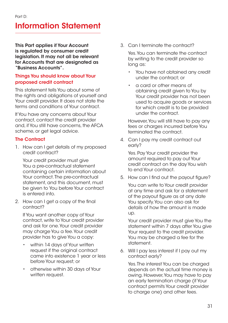### <span id="page-30-0"></span>Information Statement

This Part applies if Your Account is regulated by consumer credit legislation. It may not all be relevant for Accounts that are designated as "Business Accounts".

#### Things You should know about Your proposed credit contract

This statement tells You about some of the rights and obligations of yourself and Your credit provider. It does not state the terms and conditions of Your contract.

If You have any concerns about Your contract, contact the credit provider and, if You still have concerns, the AFCA scheme, or get legal advice.

#### **The Contract**

1. How can I get details of my proposed credit contract?

 Your credit provider must give You a pre-contractual statement containing certain information about Your contract. The pre-contractual statement, and this document, must be given to You before Your contract is entered into.

2. How can I get a copy of the final contract?

 If You want another copy of Your contract, write to Your credit provider and ask for one. Your credit provider may charge You a fee. Your credit provider has to give You a copy:

- within 14 days of Your written request if the original contract came into existence 1 year or less before Your request; or
- otherwise within 30 days of Your written request.

3. Can I terminate the contract?

 Yes. You can terminate the contract by writing to the credit provider so long as:

- You have not obtained any credit under the contract; or
- a card or other means of obtaining credit given to You by Your credit provider has not been used to acquire goods or services for which credit is to be provided under the contract.

 However, You will still have to pay any fees or charges incurred before You terminated the contract.

4. Can I pay my credit contract out early?

 Yes. Pay Your credit provider the amount required to pay out Your credit contract on the day You wish to end Your contract.

5. How can I find out the payout figure?

 You can write to Your credit provider at any time and ask for a statement of the payout figure as at any date You specify. You can also ask for details of how the amount is made up.

Your credit provider must give You the statement within 7 days after You give Your request to the credit provider. You may be charged a fee for the statement.

6. Will I pay less interest if I pay out my contract early?

 Yes. The interest You can be charged depends on the actual time money is owing. However, You may have to pay an early termination charge (if Your contract permits Your credit provider to charge one) and other fees.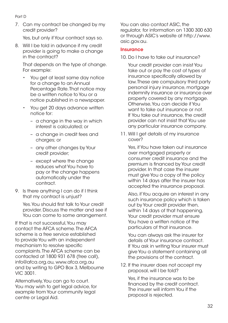#### Part D

7. Can my contract be changed by my credit provider?

Yes, but only if Your contract says so.

8. Will I be told in advance if my credit provider is going to make a change in the contract?

 That depends on the type of change. For example:

- You get at least same day notice for a change to an Annual Percentage Rate. That notice may be a written notice to You or a notice published in a newspaper.
- You get 20 days advance written notice for:
	- a change in the way in which interest is calculated; or
	- a change in credit fees and charges; or
	- any other changes by Your credit provider;
	- except where the change reduces what You have to pay or the change happens automatically under the contract.
- 9. Is there anything I can do if I think that my contract is unjust?

 Yes. You should first talk to Your credit provider. Discuss the matter and see if You can come to some arrangement.

If that is not successful, You may contact the AFCA scheme. The AFCA scheme is a free service established to provide You with an independent mechanism to resolve specific complaints. The AFCA scheme can be contacted at 1800 931 678 (free call), [info@afca.org.au,](mailto:INFO%40AFCA.ORG.AU?subject=) [www.afca.org.au](http://WWW.AFCA.ORG.AU)  and by writing to GPO Box 3, Melbourne VIC 3001.

Alternatively, You can go to court. You may wish to get legal advice, for example from Your community legal centre or Legal Aid.

You can also contact ASIC, the regulator, for information on 1300 300 630 or through ASIC's website at [http://www.](http://www.asic.gov.au) [asic.gov.au](http://www.asic.gov.au).

#### **Insurance**

10. Do I have to take out insurance?

 Your credit provider can insist You take out or pay the cost of types of insurance specifically allowed by law. These are compulsory third party personal injury insurance, mortgage indemnity insurance or insurance over property covered by any mortgage. Otherwise, You can decide if You want to take out insurance or not. If You take out insurance, the credit provider can not insist that You use any particular insurance company.

11. Will I get details of my insurance cover?

 Yes, if You have taken out insurance over mortgaged property or consumer credit insurance and the premium is financed by Your credit provider. In that case the insurer must give You a copy of the policy within 14 days after the insurer has accepted the insurance proposal.

 Also, if You acquire an interest in any such insurance policy which is taken out by Your credit provider then, within 14 days of that happening, Your credit provider must ensure You have a written notice of the particulars of that insurance.

 You can always ask the insurer for details of Your insurance contract. If You ask in writing Your insurer must give You a statement containing all the provisions of the contract.

12. If the insurer does not accept my proposal, will I be told?

 Yes, if the insurance was to be financed by the credit contract. The insurer will inform You if the proposal is rejected.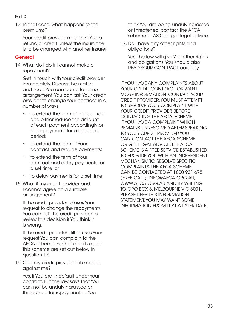- Part D
- 13. In that case, what happens to the premiums?

Your credit provider must give You a refund or credit unless the insurance is to be arranged with another insurer.

#### General

14. What do I do if I cannot make a repayment?

 Get in touch with Your credit provider immediately. Discuss the matter and see if You can come to some arrangement. You can ask Your credit provider to change Your contract in a number of ways:

- to extend the term of the contract and either reduce the amount of each payment accordingly or defer payments for a specified period;
- to extend the term of Your contract and reduce payments;
- to extend the term of Your contract and delay payments for a set time; or
- to delay payments for a set time.
- 15. What if my credit provider and I cannot agree on a suitable arrangement?

 If the credit provider refuses Your request to change the repayments, You can ask the credit provider to review this decision if You think it is wrong.

 If the credit provider still refuses Your request You can complain to the AFCA scheme. Further details about this scheme are set out below in question 17.

16. Can my credit provider take action against me?

 Yes, if You are in default under Your contract. But the law says that You can not be unduly harassed or threatened for repayments. If You

think You are being unduly harassed or threatened, contact the AFCA scheme or ASIC, or get legal advice.

17. Do I have any other rights and obligations?

 Yes. The law will give You other rights and obligations. You should also READ YOUR CONTRACT carefully.

IF YOU HAVE ANY COMPLAINTS ABOUT YOUR CREDIT CONTRACT, OR WANT MORE INFORMATION, CONTACT YOUR CREDIT PROVIDER. YOU MUST ATTEMPT TO RESOLVE YOUR COMPLAINT WITH YOUR CREDIT PROVIDER BEFORE CONTACTING THE AFCA SCHEME. IF YOU HAVE A COMPLAINT WHICH REMAINS UNRESOLVED AFTER SPEAKING TO YOUR CREDIT PROVIDER YOU CAN CONTACT THE AFCA SCHEME OR GET LEGAL ADVICE. THE AFCA SCHEME IS A FREE SERVICE ESTABLISHED TO PROVIDE YOU WITH AN INDEPENDENT MECHANISM TO RESOLVE SPECIFIC COMPLAINTS. THE AFCA SCHEME CAN BE CONTACTED AT 1800 931 678 (FREE CALL), [INFO@AFCA.ORG.AU,](mailto:INFO%40AFCA.ORG.AU?subject=) [WWW.AFCA.ORG.AU](http://WWW.AFCA.ORG.AU) AND BY WRITING TO GPO BOX 3, MELBOURNE VIC 3001. PLEASE KEEP THIS INFORMATION STATEMENT. YOU MAY WANT SOME INFORMATION FROM IT AT A LATER DATE.